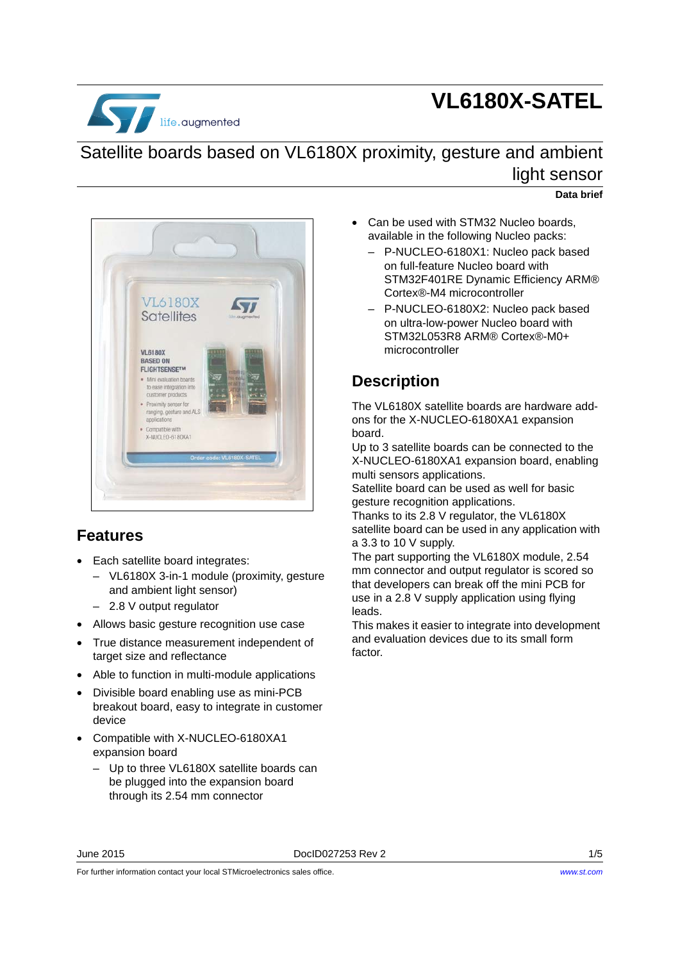

# **VL6180X-SATEL**

## Satellite boards based on VL6180X proximity, gesture and ambient light sensor

#### **Data brief**



### **Features**

- Each satellite board integrates:
	- VL6180X 3-in-1 module (proximity, gesture and ambient light sensor)
	- 2.8 V output regulator
- Allows basic gesture recognition use case
- True distance measurement independent of target size and reflectance
- Able to function in multi-module applications
- Divisible board enabling use as mini-PCB breakout board, easy to integrate in customer device
- Compatible with X-NUCLEO-6180XA1 expansion board
	- Up to three VL6180X satellite boards can be plugged into the expansion board through its 2.54 mm connector
- Can be used with STM32 Nucleo boards, available in the following Nucleo packs:
	- P-NUCLEO-6180X1: Nucleo pack based on full-feature Nucleo board with STM32F401RE Dynamic Efficiency ARM® Cortex®-M4 microcontroller
	- P-NUCLEO-6180X2: Nucleo pack based on ultra-low-power Nucleo board with STM32L053R8 ARM® Cortex®-M0+ microcontroller

### **Description**

The VL6180X satellite boards are hardware addons for the X-NUCLEO-6180XA1 expansion board.

Up to 3 satellite boards can be connected to the X-NUCLEO-6180XA1 expansion board, enabling multi sensors applications.

Satellite board can be used as well for basic gesture recognition applications.

Thanks to its 2.8 V regulator, the VL6180X satellite board can be used in any application with a 3.3 to 10 V supply.

The part supporting the VL6180X module, 2.54 mm connector and output regulator is scored so that developers can break off the mini PCB for use in a 2.8 V supply application using flying leads.

This makes it easier to integrate into development and evaluation devices due to its small form factor.

For further information contact your local STMicroelectronics sales office.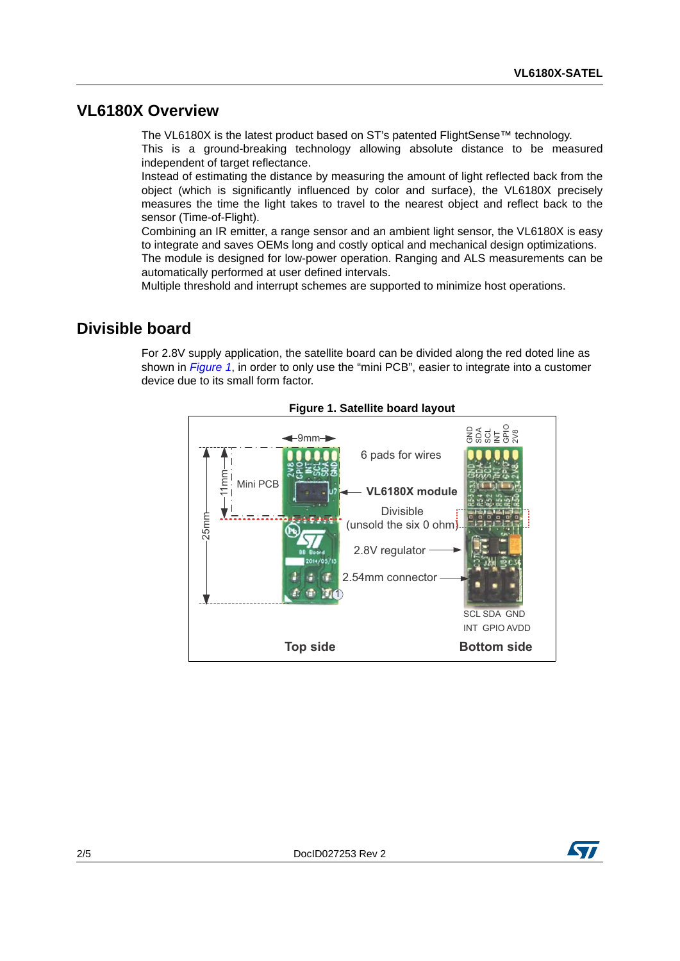#### <span id="page-1-1"></span>**VL6180X Overview**

The VL6180X is the latest product based on ST's patented FlightSense™ technology. This is a ground-breaking technology allowing absolute distance to be measured independent of target reflectance.

Instead of estimating the distance by measuring the amount of light reflected back from the object (which is significantly influenced by color and surface), the VL6180X precisely measures the time the light takes to travel to the nearest object and reflect back to the sensor (Time-of-Flight).

Combining an IR emitter, a range sensor and an ambient light sensor, the VL6180X is easy to integrate and saves OEMs long and costly optical and mechanical design optimizations. The module is designed for low-power operation. Ranging and ALS measurements can be automatically performed at user defined intervals.

Multiple threshold and interrupt schemes are supported to minimize host operations.

#### **Divisible board**

For 2.8V supply application, the satellite board can be divided along the red doted line as shown in *[Figure 1](#page-1-0)*, in order to only use the "mini PCB", easier to integrate into a customer device due to its small form factor.

<span id="page-1-0"></span>

**Figure 1. Satellite board layout**

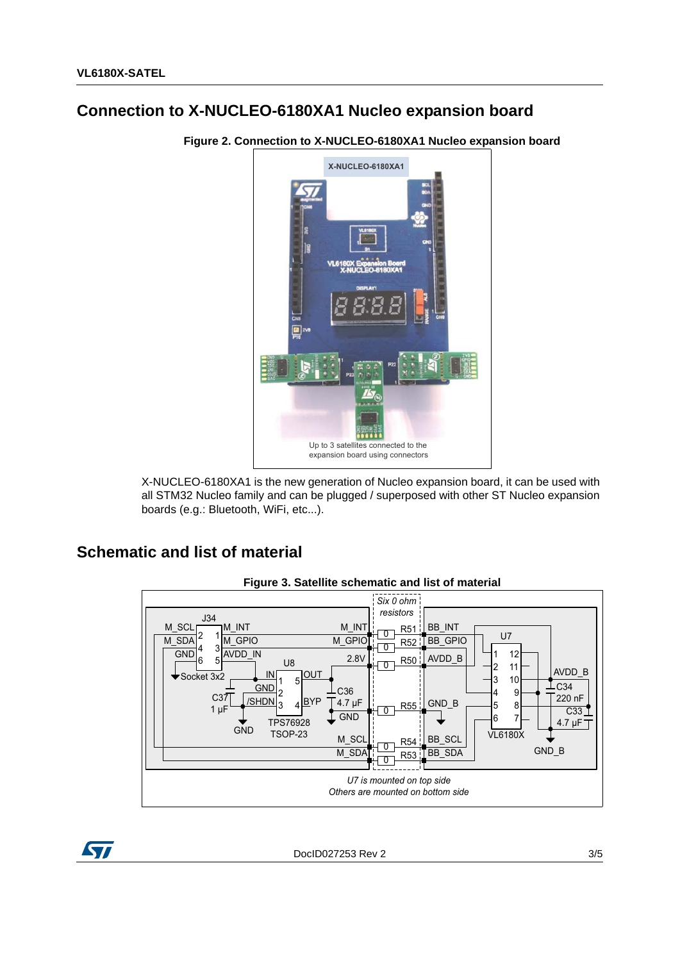### Connection to X-NUCLEO-6180XA1 Nucleo expansion board



Figure 2. Connection to X-NUCLEO-6180XA1 Nucleo expansion board

X-NUCLEO-6180XA1 is the new generation of Nucleo expansion board, it can be used with all STM32 Nucleo family and can be plugged / superposed with other ST Nucleo expansion boards (e.g.: Bluetooth, WiFi, etc...).

#### **Schematic and list of material**



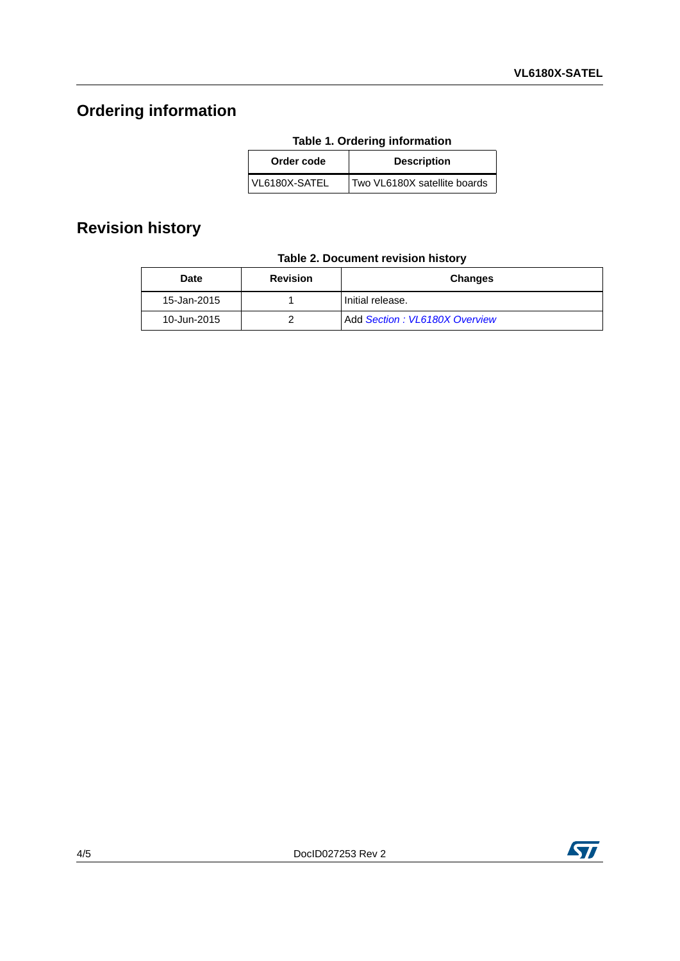# **Ordering information**

| Order code    | <b>Description</b>           |
|---------------|------------------------------|
| VL6180X-SATEL | Two VL6180X satellite boards |

### **Revision history**

|  |  | Table 2. Document revision history |  |  |
|--|--|------------------------------------|--|--|
|--|--|------------------------------------|--|--|

| <b>Date</b> | <b>Revision</b> | <b>Changes</b>                |
|-------------|-----------------|-------------------------------|
| 15-Jan-2015 |                 | Initial release.              |
| 10-Jun-2015 |                 | Add Section: VL6180X Overview |